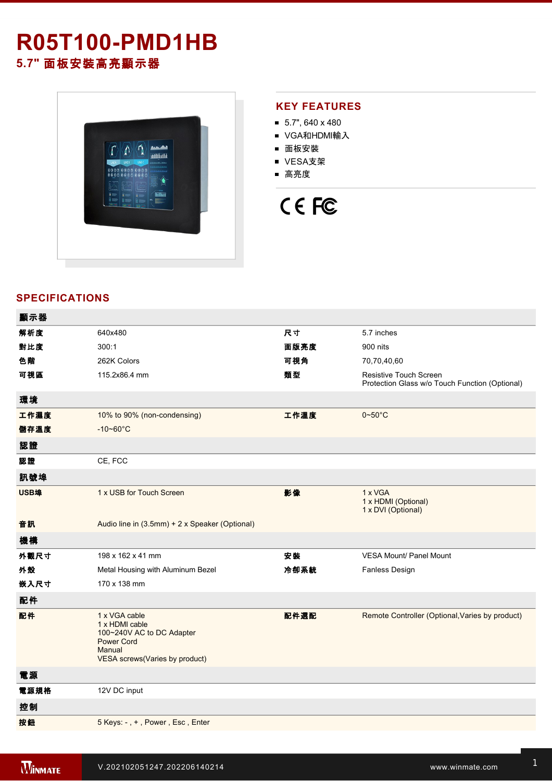# **R05T100-PMD1HB**

**5.7"** 面板安裝高亮顯示器



#### **KEY FEATURES**

- $\blacksquare$  5.7", 640 x 480
- VGA和HDMI輸入
- 面板安裝
- VESA支架
- 高亮度

## CE FC

### **SPECIFICATIONS**

| 顯示器  |                                                                                                                               |      |                                                                                 |
|------|-------------------------------------------------------------------------------------------------------------------------------|------|---------------------------------------------------------------------------------|
| 解析度  | 640x480                                                                                                                       | 尺寸   | 5.7 inches                                                                      |
| 對比度  | 300:1                                                                                                                         | 面版亮度 | 900 nits                                                                        |
| 色階   | 262K Colors                                                                                                                   | 可視角  | 70,70,40,60                                                                     |
| 可視區  | 115.2x86.4 mm                                                                                                                 | 類型   | <b>Resistive Touch Screen</b><br>Protection Glass w/o Touch Function (Optional) |
| 環境   |                                                                                                                               |      |                                                                                 |
| 工作濕度 | 10% to 90% (non-condensing)                                                                                                   | 工作溫度 | $0 \sim 50^{\circ}$ C                                                           |
| 儲存溫度 | $-10 - 60^{\circ}$ C                                                                                                          |      |                                                                                 |
| 認證   |                                                                                                                               |      |                                                                                 |
| 認證   | CE, FCC                                                                                                                       |      |                                                                                 |
| 訊號埠  |                                                                                                                               |      |                                                                                 |
| USB埠 | 1 x USB for Touch Screen                                                                                                      | 影像   | 1 x VGA<br>1 x HDMI (Optional)<br>1 x DVI (Optional)                            |
| 音訊   | Audio line in (3.5mm) + 2 x Speaker (Optional)                                                                                |      |                                                                                 |
| 機構   |                                                                                                                               |      |                                                                                 |
| 外觀尺寸 | 198 x 162 x 41 mm                                                                                                             | 安装   | <b>VESA Mount/ Panel Mount</b>                                                  |
| 外殼   | Metal Housing with Aluminum Bezel                                                                                             | 冷卻系統 | <b>Fanless Design</b>                                                           |
| 嵌入尺寸 | 170 x 138 mm                                                                                                                  |      |                                                                                 |
| 配件   |                                                                                                                               |      |                                                                                 |
| 配件   | 1 x VGA cable<br>1 x HDMI cable<br>100~240V AC to DC Adapter<br><b>Power Cord</b><br>Manual<br>VESA screws(Varies by product) | 配件選配 | Remote Controller (Optional, Varies by product)                                 |
| 電源   |                                                                                                                               |      |                                                                                 |
| 電源規格 | 12V DC input                                                                                                                  |      |                                                                                 |
| 控制   |                                                                                                                               |      |                                                                                 |
| 按鈕   | 5 Keys: -, +, Power, Esc, Enter                                                                                               |      |                                                                                 |
|      |                                                                                                                               |      |                                                                                 |

**DIMENSIONS**  UNIT:MM